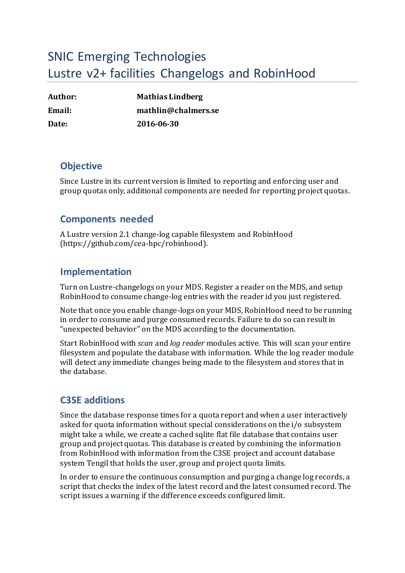# SNIC Emerging Technologies Lustre v2+ facilities Changelogs and RobinHood

| Author:       | <b>Mathias Lindberg</b> |
|---------------|-------------------------|
| <b>Email:</b> | mathlin@chalmers.se     |
| Date:         | 2016-06-30              |

## **Objective**

Since Lustre in its current version is limited to reporting and enforcing user and group quotas only, additional components are needed for reporting project quotas.

#### **Components needed**

A Lustre version 2.1 change-log capable filesystem and RobinHood (https://github.com/cea-hpc/robinhood).

## **Implementation**

Turn on Lustre-changelogs on your MDS. Register a reader on the MDS, and setup RobinHood to consume change-log entries with the reader id you just registered.

Note that once you enable change-logs on your MDS, RobinHood need to be running in order to consume and purge consumed records. Failure to do so can result in "unexpected behavior" on the MDS according to the documentation.

Start RobinHood with *scan* and *log reader* modules active. This will scan your entire filesystem and populate the database with information. While the log reader module will detect any immediate changes being made to the filesystem and stores that in the database.

# **C3SE additions**

Since the database response times for a quota report and when a user interactively asked for quota information without special considerations on the i/o subsystem might take a while, we create a cached sqlite flat file database that contains user group and project quotas*.* This database is created by combining the information from RobinHood with information from the C3SE project and account database system Tengil that holds the user, group and project quota limits.

In order to ensure the continuous consumption and purging a change log records, a script that checks the index of the latest record and the latest consumed record. The script issues a warning if the difference exceeds configured limit.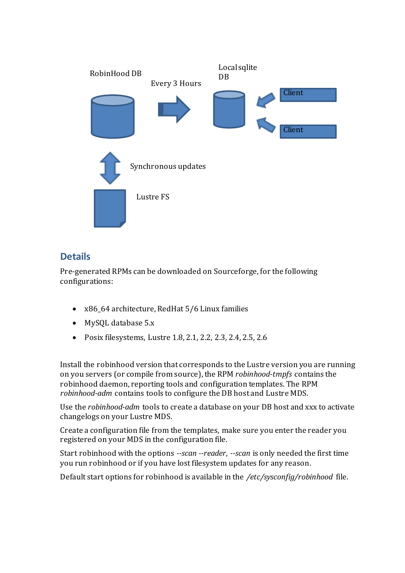

# **Details**

Pre-generated RPMs can be downloaded on Sourceforge, for the following configurations:

- x86\_64 architecture, RedHat 5/6 Linux families
- MySQL database 5.x
- Posix filesystems, Lustre 1.8, 2.1, 2.2, 2.3, 2.4, 2.5, 2.6

Install the robinhood version that corresponds to the Lustre version you are running on you servers (or compile from source), the RPM *robinhood-tmpfs* contains the robinhood daemon, reporting tools and configuration templates. The RPM *robinhood-adm* contains tools to configure the DB host and Lustre MDS.

Use the *robinhood-adm* tools to create a database on your DB host and xxx to activate changelogs on your Lustre MDS.

Create a configuration file from the templates, make sure you enter the reader you registered on your MDS in the configuration file.

Start robinhood with the options *--scan --reader*, *--scan* is only needed the first time you run robinhood or if you have lost filesystem updates for any reason.

Default start options for robinhood is available in the */etc/sysconfig/robinhood* file.